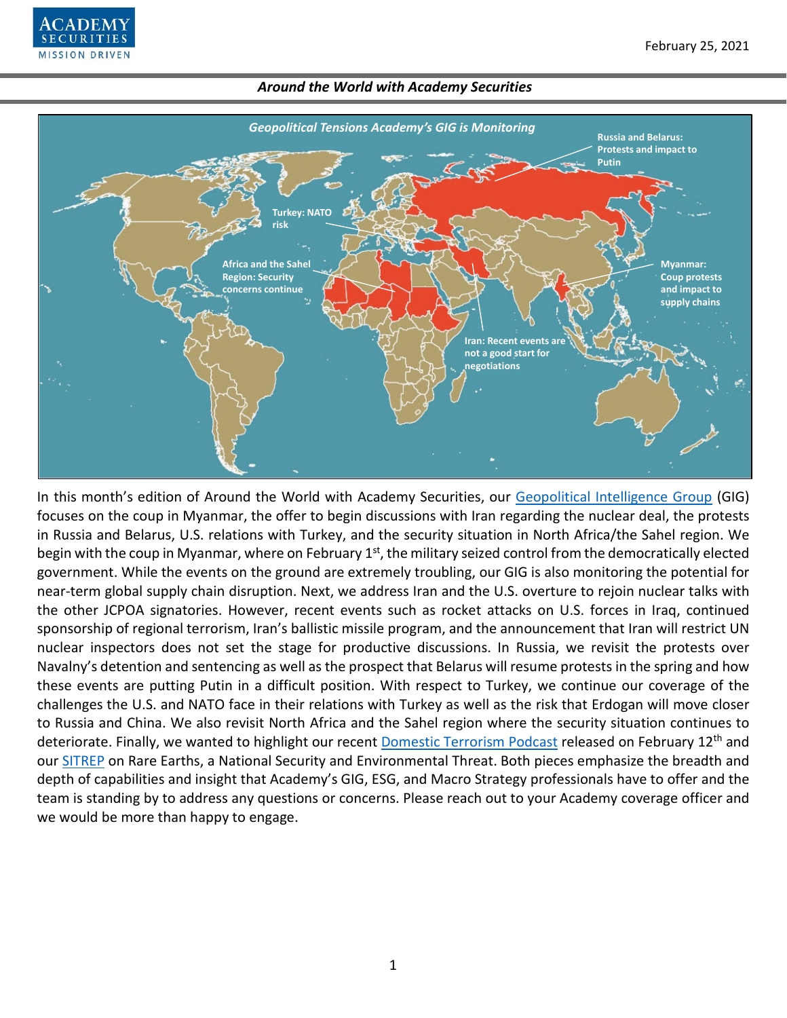



In this month's edition of Around the World with Academy Securities, our [Geopolitical Intelligence Group](https://www.academysecurities.com/geopolitical/geopolitical-intelligence-group/) (GIG) focuses on the coup in Myanmar, the offer to begin discussions with Iran regarding the nuclear deal, the protests in Russia and Belarus, U.S. relations with Turkey, and the security situation in North Africa/the Sahel region. We begin with the coup in Myanmar, where on February 1<sup>st</sup>, the military seized control from the democratically elected government. While the events on the ground are extremely troubling, our GIG is also monitoring the potential for near-term global supply chain disruption. Next, we address Iran and the U.S. overture to rejoin nuclear talks with the other JCPOA signatories. However, recent events such as rocket attacks on U.S. forces in Iraq, continued sponsorship of regional terrorism, Iran's ballistic missile program, and the announcement that Iran will restrict UN nuclear inspectors does not set the stage for productive discussions. In Russia, we revisit the protests over Navalny's detention and sentencing as well as the prospect that Belarus will resume protests in the spring and how these events are putting Putin in a difficult position. With respect to Turkey, we continue our coverage of the challenges the U.S. and NATO face in their relations with Turkey as well as the risk that Erdogan will move closer to Russia and China. We also revisit North Africa and the Sahel region where the security situation continues to deteriorate. Finally, we wanted to highlight our recent [Domestic Terrorism Podcast](https://www.academysecurities.com/geopolitical/geopolitical-podcasts/) released on February 12<sup>th</sup> and our [SITREP](https://www.academysecurities.com/geopolitical/insights/) on Rare Earths, a National Security and Environmental Threat. Both pieces emphasize the breadth and depth of capabilities and insight that Academy's GIG, ESG, and Macro Strategy professionals have to offer and the team is standing by to address any questions or concerns. Please reach out to your Academy coverage officer and we would be more than happy to engage.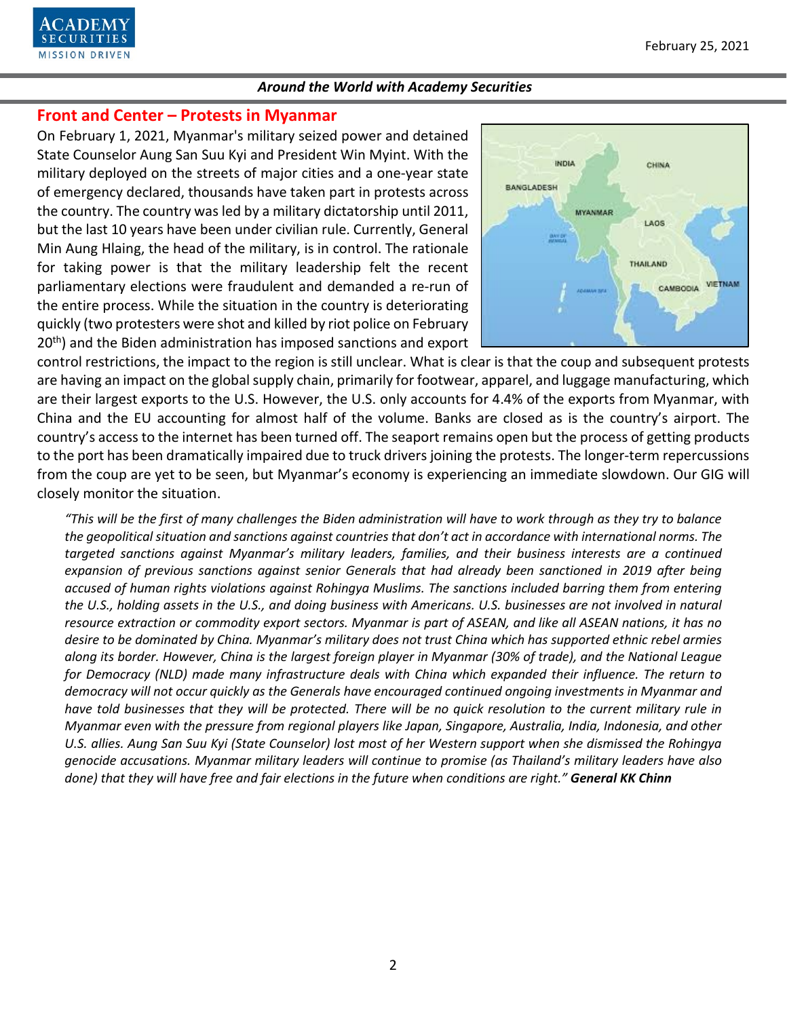

# **Front and Center – Protests in Myanmar**

On February 1, 2021, Myanmar's military seized power and detained State Counselor Aung San Suu Kyi and President Win Myint. With the military deployed on the streets of major cities and a one-year state of emergency declared, thousands have taken part in protests across the country. The country was led by a military dictatorship until 2011, but the last 10 years have been under civilian rule. Currently, General Min Aung Hlaing, the head of the military, is in control. The rationale for taking power is that the military leadership felt the recent parliamentary elections were fraudulent and demanded a re-run of the entire process. While the situation in the country is deteriorating quickly (two protesters were shot and killed by riot police on February 20<sup>th</sup>) and the Biden administration has imposed sanctions and export



control restrictions, the impact to the region is still unclear. What is clear is that the coup and subsequent protests are having an impact on the global supply chain, primarily for footwear, apparel, and luggage manufacturing, which are their largest exports to the U.S. However, the U.S. only accounts for 4.4% of the exports from Myanmar, with China and the EU accounting for almost half of the volume. Banks are closed as is the country's airport. The country's access to the internet has been turned off. The seaport remains open but the process of getting products to the port has been dramatically impaired due to truck drivers joining the protests. The longer-term repercussions from the coup are yet to be seen, but Myanmar's economy is experiencing an immediate slowdown. Our GIG will closely monitor the situation.

*"This will be the first of many challenges the Biden administration will have to work through as they try to balance the geopolitical situation and sanctions against countries that don't act in accordance with international norms. The targeted sanctions against Myanmar's military leaders, families, and their business interests are a continued expansion of previous sanctions against senior Generals that had already been sanctioned in 2019 after being accused of human rights violations against Rohingya Muslims. The sanctions included barring them from entering the U.S., holding assets in the U.S., and doing business with Americans. U.S. businesses are not involved in natural resource extraction or commodity export sectors. Myanmar is part of ASEAN, and like all ASEAN nations, it has no desire to be dominated by China. Myanmar's military does not trust China which has supported ethnic rebel armies along its border. However, China is the largest foreign player in Myanmar (30% of trade), and the National League for Democracy (NLD) made many infrastructure deals with China which expanded their influence. The return to democracy will not occur quickly as the Generals have encouraged continued ongoing investments in Myanmar and have told businesses that they will be protected. There will be no quick resolution to the current military rule in Myanmar even with the pressure from regional players like Japan, Singapore, Australia, India, Indonesia, and other U.S. allies. Aung San Suu Kyi (State Counselor) lost most of her Western support when she dismissed the Rohingya genocide accusations. Myanmar military leaders will continue to promise (as Thailand's military leaders have also done) that they will have free and fair elections in the future when conditions are right." General KK Chinn*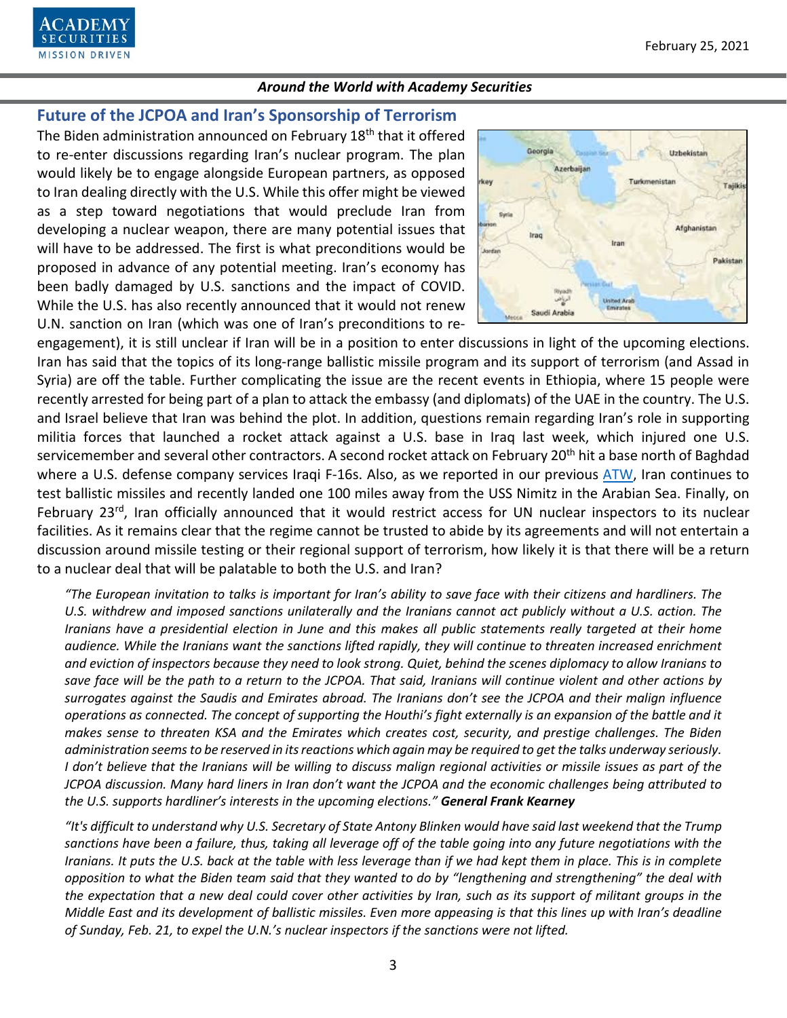

# **Future of the JCPOA and Iran's Sponsorship of Terrorism**

The Biden administration announced on February 18<sup>th</sup> that it offered to re-enter discussions regarding Iran's nuclear program. The plan would likely be to engage alongside European partners, as opposed to Iran dealing directly with the U.S. While this offer might be viewed as a step toward negotiations that would preclude Iran from developing a nuclear weapon, there are many potential issues that will have to be addressed. The first is what preconditions would be proposed in advance of any potential meeting. Iran's economy has been badly damaged by U.S. sanctions and the impact of COVID. While the U.S. has also recently announced that it would not renew U.N. sanction on Iran (which was one of Iran's preconditions to re-



engagement), it is still unclear if Iran will be in a position to enter discussions in light of the upcoming elections. Iran has said that the topics of its long-range ballistic missile program and its support of terrorism (and Assad in Syria) are off the table. Further complicating the issue are the recent events in Ethiopia, where 15 people were recently arrested for being part of a plan to attack the embassy (and diplomats) of the UAE in the country. The U.S. and Israel believe that Iran was behind the plot. In addition, questions remain regarding Iran's role in supporting militia forces that launched a rocket attack against a U.S. base in Iraq last week, which injured one U.S. servicemember and several other contractors. A second rocket attack on February 20<sup>th</sup> hit a base north of Baghdad where a U.S. defense company services Iraqi F-16s. Also, as we reported in our previous [ATW,](https://www.academysecurities.com/wordpress/wp-content/uploads/2021/01/Around-the-World-with-Academy-Securities_1_29_21.pdf) Iran continues to test ballistic missiles and recently landed one 100 miles away from the USS Nimitz in the Arabian Sea. Finally, on February 23<sup>rd</sup>, Iran officially announced that it would restrict access for UN nuclear inspectors to its nuclear facilities. As it remains clear that the regime cannot be trusted to abide by its agreements and will not entertain a discussion around missile testing or their regional support of terrorism, how likely it is that there will be a return to a nuclear deal that will be palatable to both the U.S. and Iran?

*"The European invitation to talks is important for Iran's ability to save face with their citizens and hardliners. The U.S. withdrew and imposed sanctions unilaterally and the Iranians cannot act publicly without a U.S. action. The Iranians have a presidential election in June and this makes all public statements really targeted at their home audience. While the Iranians want the sanctions lifted rapidly, they will continue to threaten increased enrichment and eviction of inspectors because they need to look strong. Quiet, behind the scenes diplomacy to allow Iranians to save face will be the path to a return to the JCPOA. That said, Iranians will continue violent and other actions by surrogates against the Saudis and Emirates abroad. The Iranians don't see the JCPOA and their malign influence operations as connected. The concept of supporting the Houthi's fight externally is an expansion of the battle and it makes sense to threaten KSA and the Emirates which creates cost, security, and prestige challenges. The Biden administration seems to be reserved in its reactions which again may be required to get the talks underway seriously. I don't believe that the Iranians will be willing to discuss malign regional activities or missile issues as part of the JCPOA discussion. Many hard liners in Iran don't want the JCPOA and the economic challenges being attributed to the U.S. supports hardliner's interests in the upcoming elections." General Frank Kearney*

*"It's difficult to understand why U.S. Secretary of State Antony Blinken would have said last weekend that the Trump sanctions have been a failure, thus, taking all leverage off of the table going into any future negotiations with the Iranians. It puts the U.S. back at the table with less leverage than if we had kept them in place. This is in complete opposition to what the Biden team said that they wanted to do by "lengthening and strengthening" the deal with the expectation that a new deal could cover other activities by Iran, such as its support of militant groups in the Middle East and its development of ballistic missiles. Even more appeasing is that this lines up with Iran's deadline of Sunday, Feb. 21, to expel the U.N.'s nuclear inspectors if the sanctions were not lifted.*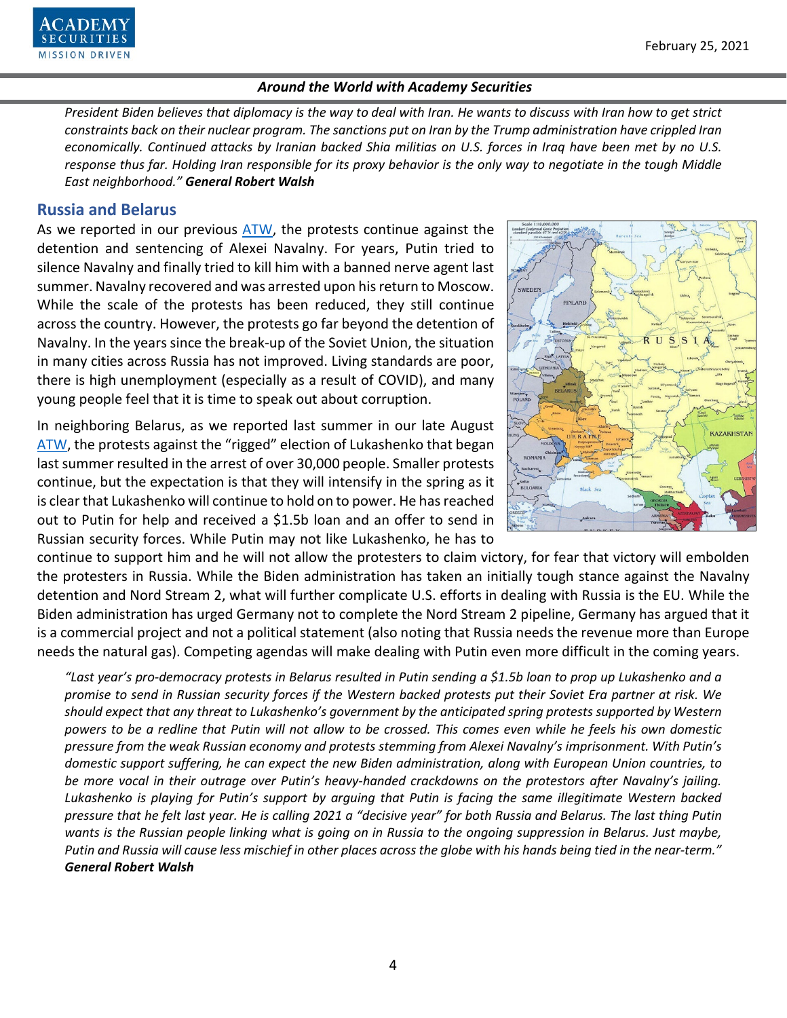

*President Biden believes that diplomacy is the way to deal with Iran. He wants to discuss with Iran how to get strict constraints back on their nuclear program. The sanctions put on Iran by the Trump administration have crippled Iran economically. Continued attacks by Iranian backed Shia militias on U.S. forces in Iraq have been met by no U.S. response thus far. Holding Iran responsible for its proxy behavior is the only way to negotiate in the tough Middle East neighborhood." General Robert Walsh*

## **Russia and Belarus**

As we reported in our previous [ATW,](https://www.academysecurities.com/wordpress/wp-content/uploads/2021/01/Around-the-World-with-Academy-Securities_1_29_21.pdf) the protests continue against the detention and sentencing of Alexei Navalny. For years, Putin tried to silence Navalny and finally tried to kill him with a banned nerve agent last summer. Navalny recovered and was arrested upon his return to Moscow. While the scale of the protests has been reduced, they still continue across the country. However, the protests go far beyond the detention of Navalny. In the years since the break-up of the Soviet Union, the situation in many cities across Russia has not improved. Living standards are poor, there is high unemployment (especially as a result of COVID), and many young people feel that it is time to speak out about corruption.

In neighboring Belarus, as we reported last summer in our late August [ATW,](https://www.academysecurities.com/wordpress/wp-content/uploads/2020/08/Around-the-World-with-Academy-Securities_8-28-20.pdf) the protests against the "rigged" election of Lukashenko that began last summer resulted in the arrest of over 30,000 people. Smaller protests continue, but the expectation is that they will intensify in the spring as it is clear that Lukashenko will continue to hold on to power. He has reached out to Putin for help and received a \$1.5b loan and an offer to send in Russian security forces. While Putin may not like Lukashenko, he has to



continue to support him and he will not allow the protesters to claim victory, for fear that victory will embolden the protesters in Russia. While the Biden administration has taken an initially tough stance against the Navalny detention and Nord Stream 2, what will further complicate U.S. efforts in dealing with Russia is the EU. While the Biden administration has urged Germany not to complete the Nord Stream 2 pipeline, Germany has argued that it is a commercial project and not a political statement (also noting that Russia needs the revenue more than Europe needs the natural gas). Competing agendas will make dealing with Putin even more difficult in the coming years.

*"Last year's pro-democracy protests in Belarus resulted in Putin sending a \$1.5b loan to prop up Lukashenko and a promise to send in Russian security forces if the Western backed protests put their Soviet Era partner at risk. We should expect that any threat to Lukashenko's government by the anticipated spring protests supported by Western powers to be a redline that Putin will not allow to be crossed. This comes even while he feels his own domestic pressure from the weak Russian economy and protests stemming from Alexei Navalny's imprisonment. With Putin's domestic support suffering, he can expect the new Biden administration, along with European Union countries, to be more vocal in their outrage over Putin's heavy-handed crackdowns on the protestors after Navalny's jailing. Lukashenko is playing for Putin's support by arguing that Putin is facing the same illegitimate Western backed pressure that he felt last year. He is calling 2021 a "decisive year" for both Russia and Belarus. The last thing Putin*  wants is the Russian people linking what is going on in Russia to the ongoing suppression in Belarus. Just maybe, *Putin and Russia will cause less mischief in other places across the globe with his hands being tied in the near-term." General Robert Walsh*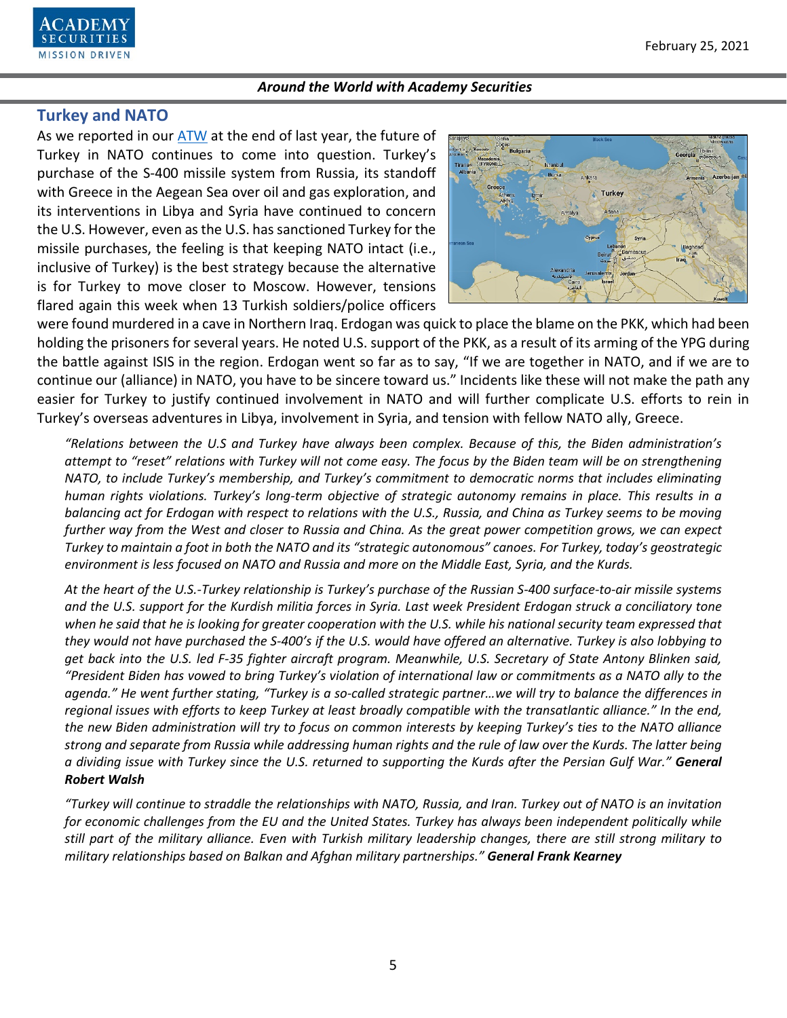

## **Turkey and NATO**

As we reported in our [ATW](https://www.academysecurities.com/wordpress/wp-content/uploads/2020/12/Around-the-World-with-Academy-Securities_12_22_20.pdf) at the end of last year, the future of Turkey in NATO continues to come into question. Turkey's purchase of the S-400 missile system from Russia, its standoff with Greece in the Aegean Sea over oil and gas exploration, and its interventions in Libya and Syria have continued to concern the U.S. However, even as the U.S. has sanctioned Turkey for the missile purchases, the feeling is that keeping NATO intact (i.e., inclusive of Turkey) is the best strategy because the alternative is for Turkey to move closer to Moscow. However, tensions flared again this week when 13 Turkish soldiers/police officers



were found murdered in a cave in Northern Iraq. Erdogan was quick to place the blame on the PKK, which had been holding the prisoners for several years. He noted U.S. support of the PKK, as a result of its arming of the YPG during the battle against ISIS in the region. Erdogan went so far as to say, "If we are together in NATO, and if we are to continue our (alliance) in NATO, you have to be sincere toward us." Incidents like these will not make the path any easier for Turkey to justify continued involvement in NATO and will further complicate U.S. efforts to rein in Turkey's overseas adventures in Libya, involvement in Syria, and tension with fellow NATO ally, Greece.

*"Relations between the U.S and Turkey have always been complex. Because of this, the Biden administration's attempt to "reset" relations with Turkey will not come easy. The focus by the Biden team will be on strengthening NATO, to include Turkey's membership, and Turkey's commitment to democratic norms that includes eliminating human rights violations. Turkey's long-term objective of strategic autonomy remains in place. This results in a balancing act for Erdogan with respect to relations with the U.S., Russia, and China as Turkey seems to be moving further way from the West and closer to Russia and China. As the great power competition grows, we can expect Turkey to maintain a foot in both the NATO and its "strategic autonomous" canoes. For Turkey, today's geostrategic environment is less focused on NATO and Russia and more on the Middle East, Syria, and the Kurds.*

*At the heart of the U.S.-Turkey relationship is Turkey's purchase of the Russian S-400 surface-to-air missile systems and the U.S. support for the Kurdish militia forces in Syria. Last week President Erdogan struck a conciliatory tone when he said that he is looking for greater cooperation with the U.S. while his national security team expressed that they would not have purchased the S-400's if the U.S. would have offered an alternative. Turkey is also lobbying to get back into the U.S. led F-35 fighter aircraft program. Meanwhile, U.S. Secretary of State Antony Blinken said, "President Biden has vowed to bring Turkey's violation of international law or commitments as a NATO ally to the agenda." He went further stating, "Turkey is a so-called strategic partner…we will try to balance the differences in regional issues with efforts to keep Turkey at least broadly compatible with the transatlantic alliance." In the end, the new Biden administration will try to focus on common interests by keeping Turkey's ties to the NATO alliance strong and separate from Russia while addressing human rights and the rule of law over the Kurds. The latter being a dividing issue with Turkey since the U.S. returned to supporting the Kurds after the Persian Gulf War." General Robert Walsh*

*"Turkey will continue to straddle the relationships with NATO, Russia, and Iran. Turkey out of NATO is an invitation for economic challenges from the EU and the United States. Turkey has always been independent politically while still part of the military alliance. Even with Turkish military leadership changes, there are still strong military to military relationships based on Balkan and Afghan military partnerships." General Frank Kearney*